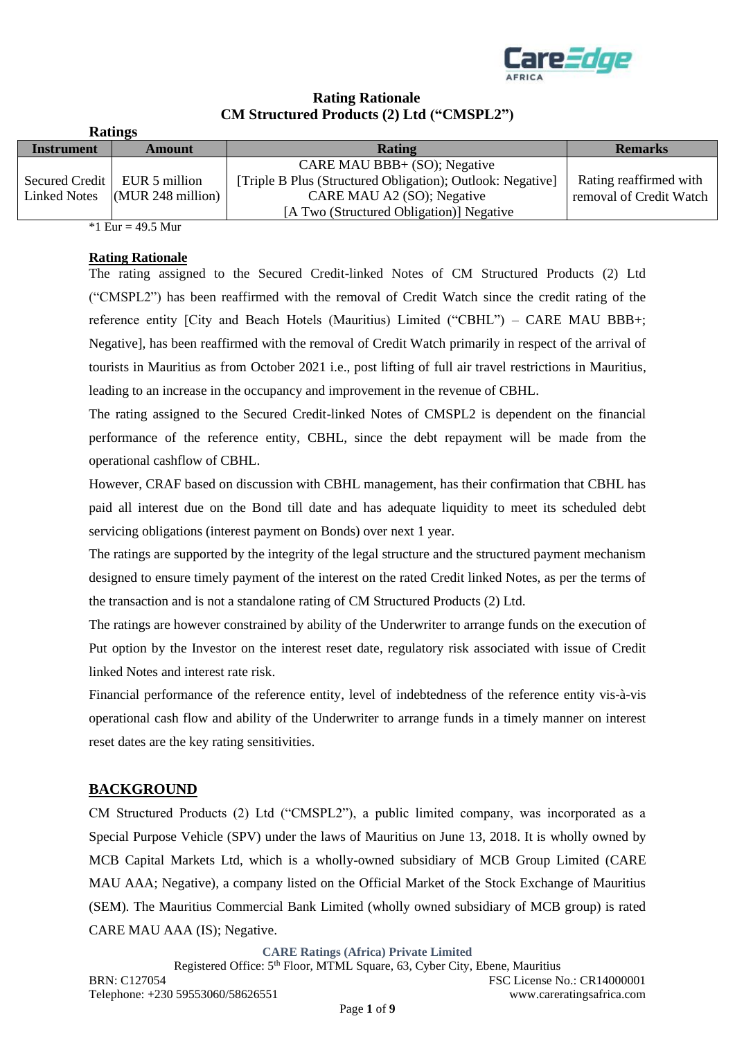

# **Rating Rationale CM Structured Products (2) Ltd ("CMSPL2")**

|                     | <b>Ratings</b>                 |                                                            |                         |
|---------------------|--------------------------------|------------------------------------------------------------|-------------------------|
| <b>Instrument</b>   | Amount                         | <b>Rating</b>                                              | <b>Remarks</b>          |
|                     |                                | CARE MAU BBB+ (SO); Negative                               |                         |
|                     | Secured Credit   EUR 5 million | [Triple B Plus (Structured Obligation); Outlook: Negative] | Rating reaffirmed with  |
| <b>Linked Notes</b> | $(MUR 248$ million)            | CARE MAU A2 (SO); Negative                                 | removal of Credit Watch |
|                     |                                | [A Two (Structured Obligation)] Negative                   |                         |

\*1 Eur = 49.5 Mur

#### **Rating Rationale**

The rating assigned to the Secured Credit-linked Notes of CM Structured Products (2) Ltd ("CMSPL2") has been reaffirmed with the removal of Credit Watch since the credit rating of the reference entity [City and Beach Hotels (Mauritius) Limited ("CBHL") – CARE MAU BBB+; Negative], has been reaffirmed with the removal of Credit Watch primarily in respect of the arrival of tourists in Mauritius as from October 2021 i.e., post lifting of full air travel restrictions in Mauritius, leading to an increase in the occupancy and improvement in the revenue of CBHL.

The rating assigned to the Secured Credit-linked Notes of CMSPL2 is dependent on the financial performance of the reference entity, CBHL, since the debt repayment will be made from the operational cashflow of CBHL.

However, CRAF based on discussion with CBHL management, has their confirmation that CBHL has paid all interest due on the Bond till date and has adequate liquidity to meet its scheduled debt servicing obligations (interest payment on Bonds) over next 1 year.

The ratings are supported by the integrity of the legal structure and the structured payment mechanism designed to ensure timely payment of the interest on the rated Credit linked Notes, as per the terms of the transaction and is not a standalone rating of CM Structured Products (2) Ltd.

The ratings are however constrained by ability of the Underwriter to arrange funds on the execution of Put option by the Investor on the interest reset date, regulatory risk associated with issue of Credit linked Notes and interest rate risk.

Financial performance of the reference entity, level of indebtedness of the reference entity vis-à-vis operational cash flow and ability of the Underwriter to arrange funds in a timely manner on interest reset dates are the key rating sensitivities.

# **BACKGROUND**

CM Structured Products (2) Ltd ("CMSPL2"), a public limited company, was incorporated as a Special Purpose Vehicle (SPV) under the laws of Mauritius on June 13, 2018. It is wholly owned by MCB Capital Markets Ltd, which is a wholly-owned subsidiary of MCB Group Limited (CARE MAU AAA; Negative), a company listed on the Official Market of the Stock Exchange of Mauritius (SEM). The Mauritius Commercial Bank Limited (wholly owned subsidiary of MCB group) is rated CARE MAU AAA (IS); Negative.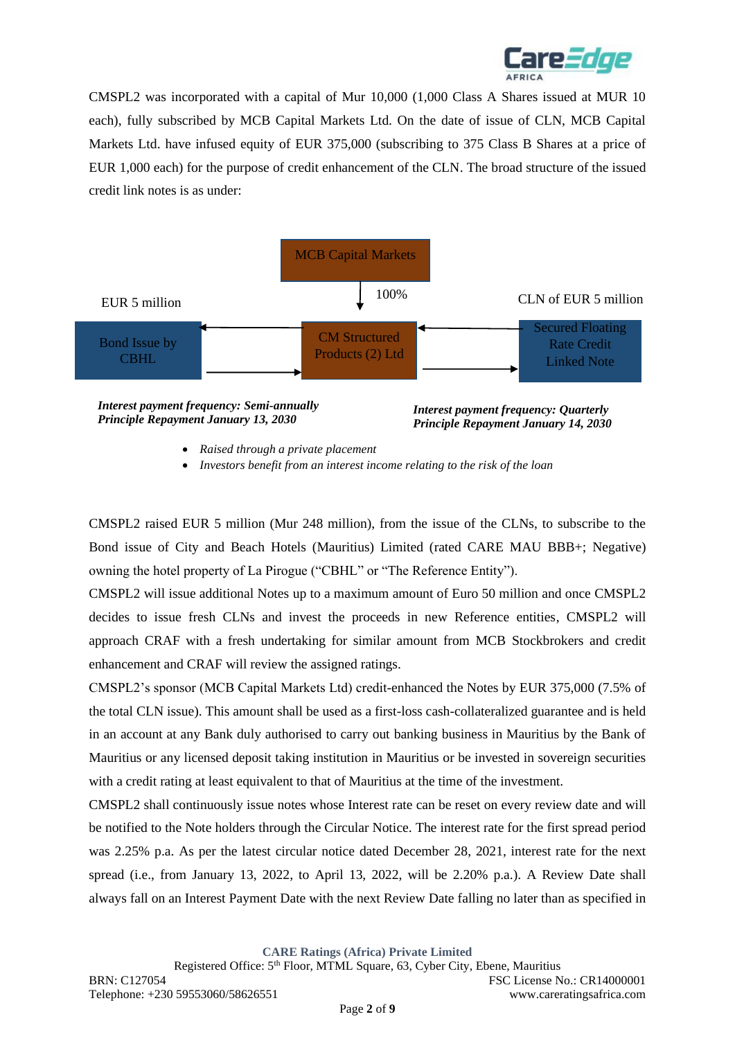

CMSPL2 was incorporated with a capital of Mur 10,000 (1,000 Class A Shares issued at MUR 10 each), fully subscribed by MCB Capital Markets Ltd. On the date of issue of CLN, MCB Capital Markets Ltd. have infused equity of EUR 375,000 (subscribing to 375 Class B Shares at a price of EUR 1,000 each) for the purpose of credit enhancement of the CLN. The broad structure of the issued credit link notes is as under:



• *Raised through a private placement*

• *Investors benefit from an interest income relating to the risk of the loan*

CMSPL2 raised EUR 5 million (Mur 248 million), from the issue of the CLNs, to subscribe to the Bond issue of City and Beach Hotels (Mauritius) Limited (rated CARE MAU BBB+; Negative) owning the hotel property of La Pirogue ("CBHL" or "The Reference Entity").

CMSPL2 will issue additional Notes up to a maximum amount of Euro 50 million and once CMSPL2 decides to issue fresh CLNs and invest the proceeds in new Reference entities, CMSPL2 will approach CRAF with a fresh undertaking for similar amount from MCB Stockbrokers and credit enhancement and CRAF will review the assigned ratings.

CMSPL2's sponsor (MCB Capital Markets Ltd) credit-enhanced the Notes by EUR 375,000 (7.5% of the total CLN issue). This amount shall be used as a first-loss cash-collateralized guarantee and is held in an account at any Bank duly authorised to carry out banking business in Mauritius by the Bank of Mauritius or any licensed deposit taking institution in Mauritius or be invested in sovereign securities with a credit rating at least equivalent to that of Mauritius at the time of the investment.

CMSPL2 shall continuously issue notes whose Interest rate can be reset on every review date and will be notified to the Note holders through the Circular Notice. The interest rate for the first spread period was 2.25% p.a. As per the latest circular notice dated December 28, 2021, interest rate for the next spread (i.e., from January 13, 2022, to April 13, 2022, will be 2.20% p.a.). A Review Date shall always fall on an Interest Payment Date with the next Review Date falling no later than as specified in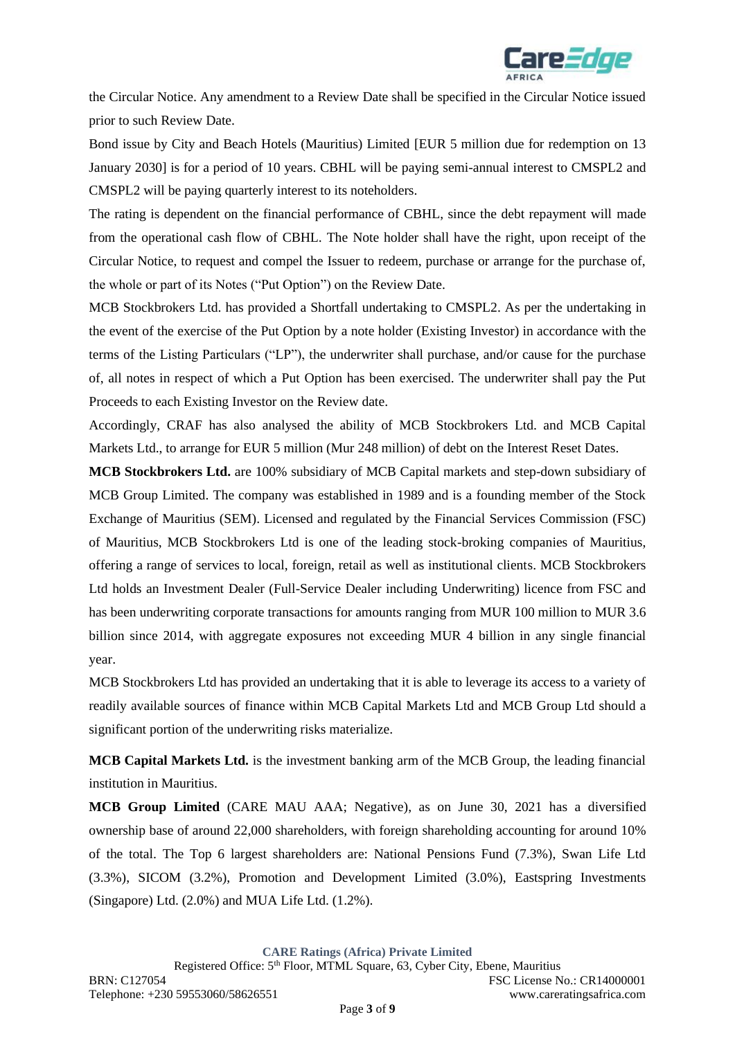

the Circular Notice. Any amendment to a Review Date shall be specified in the Circular Notice issued prior to such Review Date.

Bond issue by City and Beach Hotels (Mauritius) Limited [EUR 5 million due for redemption on 13 January 2030] is for a period of 10 years. CBHL will be paying semi-annual interest to CMSPL2 and CMSPL2 will be paying quarterly interest to its noteholders.

The rating is dependent on the financial performance of CBHL, since the debt repayment will made from the operational cash flow of CBHL. The Note holder shall have the right, upon receipt of the Circular Notice, to request and compel the Issuer to redeem, purchase or arrange for the purchase of, the whole or part of its Notes ("Put Option") on the Review Date.

MCB Stockbrokers Ltd. has provided a Shortfall undertaking to CMSPL2. As per the undertaking in the event of the exercise of the Put Option by a note holder (Existing Investor) in accordance with the terms of the Listing Particulars ("LP"), the underwriter shall purchase, and/or cause for the purchase of, all notes in respect of which a Put Option has been exercised. The underwriter shall pay the Put Proceeds to each Existing Investor on the Review date.

Accordingly, CRAF has also analysed the ability of MCB Stockbrokers Ltd. and MCB Capital Markets Ltd., to arrange for EUR 5 million (Mur 248 million) of debt on the Interest Reset Dates.

**MCB Stockbrokers Ltd.** are 100% subsidiary of MCB Capital markets and step-down subsidiary of MCB Group Limited. The company was established in 1989 and is a founding member of the Stock Exchange of Mauritius (SEM). Licensed and regulated by the Financial Services Commission (FSC) of Mauritius, MCB Stockbrokers Ltd is one of the leading stock-broking companies of Mauritius, offering a range of services to local, foreign, retail as well as institutional clients. MCB Stockbrokers Ltd holds an Investment Dealer (Full-Service Dealer including Underwriting) licence from FSC and has been underwriting corporate transactions for amounts ranging from MUR 100 million to MUR 3.6 billion since 2014, with aggregate exposures not exceeding MUR 4 billion in any single financial year.

MCB Stockbrokers Ltd has provided an undertaking that it is able to leverage its access to a variety of readily available sources of finance within MCB Capital Markets Ltd and MCB Group Ltd should a significant portion of the underwriting risks materialize.

**MCB Capital Markets Ltd.** is the investment banking arm of the MCB Group, the leading financial institution in Mauritius.

**MCB Group Limited** (CARE MAU AAA; Negative), as on June 30, 2021 has a diversified ownership base of around 22,000 shareholders, with foreign shareholding accounting for around 10% of the total. The Top 6 largest shareholders are: National Pensions Fund (7.3%), Swan Life Ltd (3.3%), SICOM (3.2%), Promotion and Development Limited (3.0%), Eastspring Investments (Singapore) Ltd. (2.0%) and MUA Life Ltd. (1.2%).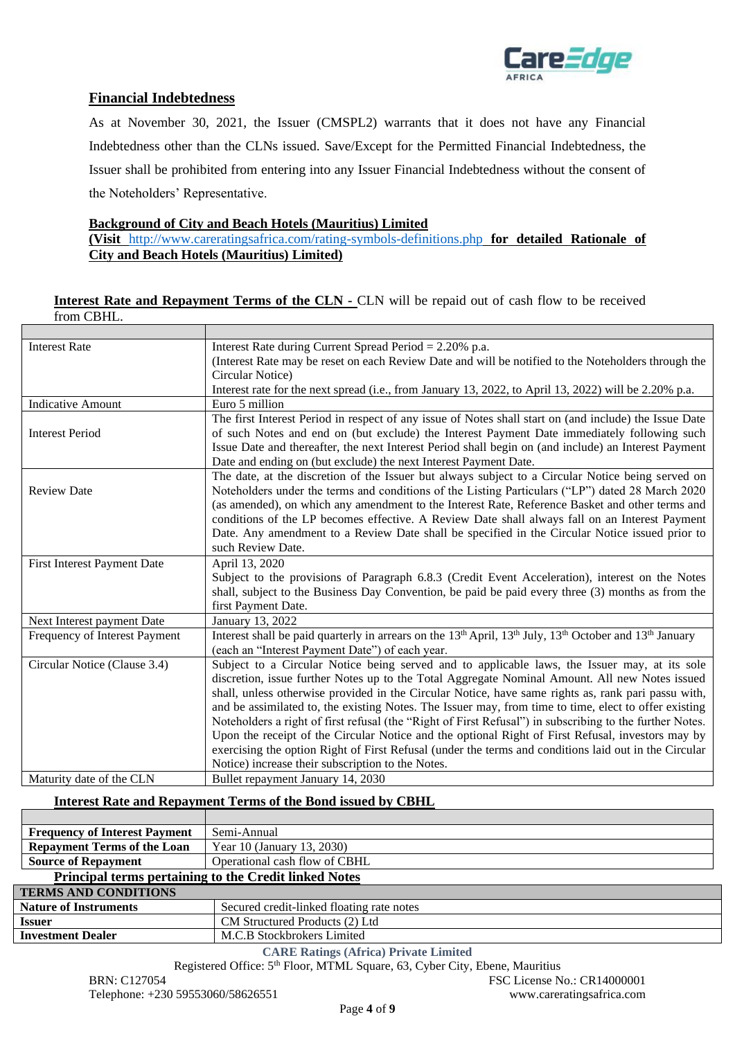

# **Financial Indebtedness**

As at November 30, 2021, the Issuer (CMSPL2) warrants that it does not have any Financial Indebtedness other than the CLNs issued. Save/Except for the Permitted Financial Indebtedness, the Issuer shall be prohibited from entering into any Issuer Financial Indebtedness without the consent of the Noteholders' Representative.

#### **Background of City and Beach Hotels (Mauritius) Limited**

**(Visit** <http://www.careratingsafrica.com/rating-symbols-definitions.php> **for detailed Rationale of City and Beach Hotels (Mauritius) Limited)**

### **Interest Rate and Repayment Terms of the CLN -** CLN will be repaid out of cash flow to be received from CBHL.

| <b>Interest Rate</b>                                 | Interest Rate during Current Spread Period = 2.20% p.a.                                                                                                 |  |
|------------------------------------------------------|---------------------------------------------------------------------------------------------------------------------------------------------------------|--|
|                                                      | (Interest Rate may be reset on each Review Date and will be notified to the Noteholders through the                                                     |  |
|                                                      | Circular Notice)                                                                                                                                        |  |
|                                                      | Interest rate for the next spread (i.e., from January 13, 2022, to April 13, 2022) will be 2.20% p.a.                                                   |  |
| <b>Indicative Amount</b>                             | Euro 5 million                                                                                                                                          |  |
|                                                      | The first Interest Period in respect of any issue of Notes shall start on (and include) the Issue Date                                                  |  |
| <b>Interest Period</b>                               | of such Notes and end on (but exclude) the Interest Payment Date immediately following such                                                             |  |
|                                                      | Issue Date and thereafter, the next Interest Period shall begin on (and include) an Interest Payment                                                    |  |
|                                                      | Date and ending on (but exclude) the next Interest Payment Date.                                                                                        |  |
|                                                      | The date, at the discretion of the Issuer but always subject to a Circular Notice being served on                                                       |  |
| <b>Review Date</b>                                   | Noteholders under the terms and conditions of the Listing Particulars ("LP") dated 28 March 2020                                                        |  |
|                                                      | (as amended), on which any amendment to the Interest Rate, Reference Basket and other terms and                                                         |  |
|                                                      | conditions of the LP becomes effective. A Review Date shall always fall on an Interest Payment                                                          |  |
|                                                      | Date. Any amendment to a Review Date shall be specified in the Circular Notice issued prior to                                                          |  |
|                                                      | such Review Date.                                                                                                                                       |  |
| <b>First Interest Payment Date</b><br>April 13, 2020 |                                                                                                                                                         |  |
|                                                      | Subject to the provisions of Paragraph 6.8.3 (Credit Event Acceleration), interest on the Notes                                                         |  |
|                                                      | shall, subject to the Business Day Convention, be paid be paid every three (3) months as from the                                                       |  |
|                                                      | first Payment Date.                                                                                                                                     |  |
| Next Interest payment Date                           | January 13, 2022                                                                                                                                        |  |
| Frequency of Interest Payment                        | Interest shall be paid quarterly in arrears on the 13 <sup>th</sup> April, 13 <sup>th</sup> July, 13 <sup>th</sup> October and 13 <sup>th</sup> January |  |
|                                                      | (each an "Interest Payment Date") of each year.                                                                                                         |  |
| Circular Notice (Clause 3.4)                         | Subject to a Circular Notice being served and to applicable laws, the Issuer may, at its sole                                                           |  |
|                                                      | discretion, issue further Notes up to the Total Aggregate Nominal Amount. All new Notes issued                                                          |  |
|                                                      | shall, unless otherwise provided in the Circular Notice, have same rights as, rank pari passu with,                                                     |  |
|                                                      | and be assimilated to, the existing Notes. The Issuer may, from time to time, elect to offer existing                                                   |  |
|                                                      | Noteholders a right of first refusal (the "Right of First Refusal") in subscribing to the further Notes.                                                |  |
|                                                      | Upon the receipt of the Circular Notice and the optional Right of First Refusal, investors may by                                                       |  |
|                                                      | exercising the option Right of First Refusal (under the terms and conditions laid out in the Circular                                                   |  |
|                                                      | Notice) increase their subscription to the Notes.                                                                                                       |  |
| Maturity date of the CLN                             | Bullet repayment January 14, 2030                                                                                                                       |  |

### **Interest Rate and Repayment Terms of the Bond issued by CBHL**

| <b>Frequency of Interest Payment</b>                        | Semi-Annual                               |  |  |
|-------------------------------------------------------------|-------------------------------------------|--|--|
| <b>Repayment Terms of the Loan</b>                          | Year 10 (January 13, 2030)                |  |  |
| Operational cash flow of CBHL<br><b>Source of Repayment</b> |                                           |  |  |
| Principal terms pertaining to the Credit linked Notes       |                                           |  |  |
| <b>TERMS AND CONDITIONS</b>                                 |                                           |  |  |
| <b>Nature of Instruments</b>                                | Secured credit-linked floating rate notes |  |  |
| <b>Issuer</b>                                               | CM Structured Products (2) Ltd            |  |  |
| <b>Investment Dealer</b>                                    | M.C.B Stockbrokers Limited                |  |  |
|                                                             |                                           |  |  |

**CARE Ratings (Africa) Private Limited**

Registered Office: 5<sup>th</sup> Floor, MTML Square, 63, Cyber City, Ebene, Mauritius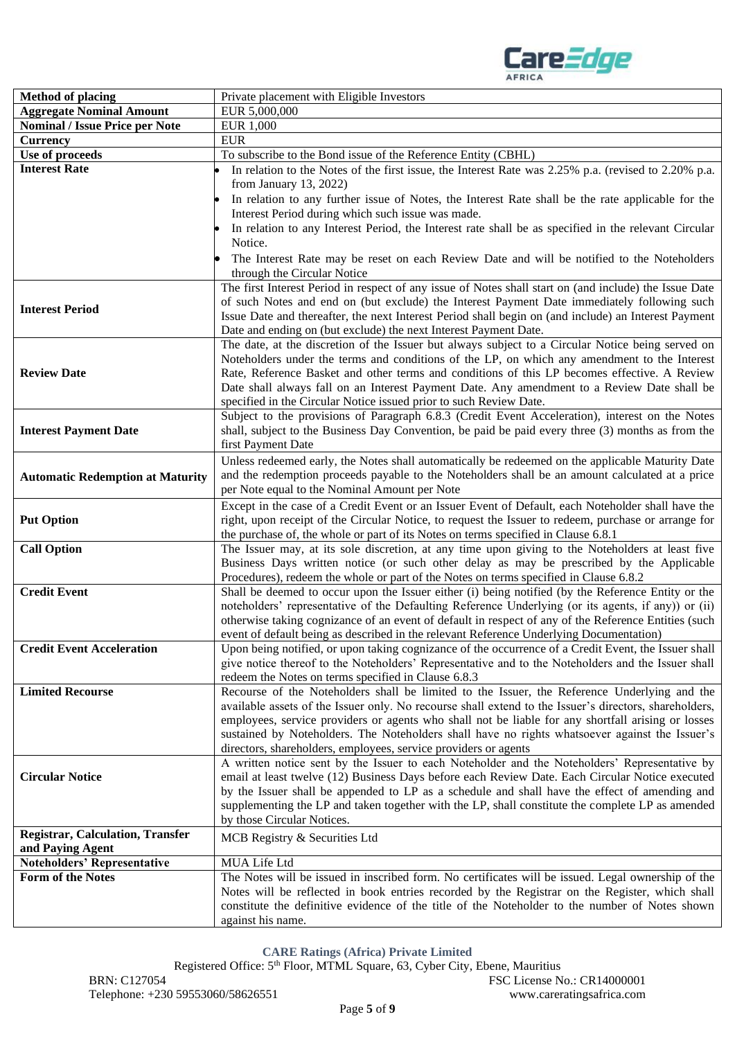

| <b>Method of placing</b>                                | Private placement with Eligible Investors                                                                                                                                                            |  |  |
|---------------------------------------------------------|------------------------------------------------------------------------------------------------------------------------------------------------------------------------------------------------------|--|--|
| <b>Aggregate Nominal Amount</b>                         | EUR 5,000,000                                                                                                                                                                                        |  |  |
| <b>Nominal / Issue Price per Note</b>                   | <b>EUR 1,000</b>                                                                                                                                                                                     |  |  |
| <b>Currency</b>                                         | <b>EUR</b>                                                                                                                                                                                           |  |  |
| Use of proceeds                                         | To subscribe to the Bond issue of the Reference Entity (CBHL)                                                                                                                                        |  |  |
| <b>Interest Rate</b>                                    | In relation to the Notes of the first issue, the Interest Rate was 2.25% p.a. (revised to 2.20% p.a.                                                                                                 |  |  |
|                                                         | from January 13, 2022)                                                                                                                                                                               |  |  |
|                                                         | In relation to any further issue of Notes, the Interest Rate shall be the rate applicable for the                                                                                                    |  |  |
|                                                         | Interest Period during which such issue was made.                                                                                                                                                    |  |  |
|                                                         | In relation to any Interest Period, the Interest rate shall be as specified in the relevant Circular                                                                                                 |  |  |
|                                                         | Notice.                                                                                                                                                                                              |  |  |
|                                                         | The Interest Rate may be reset on each Review Date and will be notified to the Noteholders                                                                                                           |  |  |
|                                                         | through the Circular Notice                                                                                                                                                                          |  |  |
|                                                         | The first Interest Period in respect of any issue of Notes shall start on (and include) the Issue Date                                                                                               |  |  |
| <b>Interest Period</b>                                  | of such Notes and end on (but exclude) the Interest Payment Date immediately following such                                                                                                          |  |  |
|                                                         | Issue Date and thereafter, the next Interest Period shall begin on (and include) an Interest Payment                                                                                                 |  |  |
|                                                         | Date and ending on (but exclude) the next Interest Payment Date.<br>The date, at the discretion of the Issuer but always subject to a Circular Notice being served on                                |  |  |
|                                                         | Noteholders under the terms and conditions of the LP, on which any amendment to the Interest                                                                                                         |  |  |
| <b>Review Date</b>                                      | Rate, Reference Basket and other terms and conditions of this LP becomes effective. A Review                                                                                                         |  |  |
|                                                         | Date shall always fall on an Interest Payment Date. Any amendment to a Review Date shall be                                                                                                          |  |  |
|                                                         | specified in the Circular Notice issued prior to such Review Date.                                                                                                                                   |  |  |
|                                                         | Subject to the provisions of Paragraph 6.8.3 (Credit Event Acceleration), interest on the Notes                                                                                                      |  |  |
| <b>Interest Payment Date</b>                            | shall, subject to the Business Day Convention, be paid be paid every three (3) months as from the                                                                                                    |  |  |
|                                                         | first Payment Date                                                                                                                                                                                   |  |  |
|                                                         | Unless redeemed early, the Notes shall automatically be redeemed on the applicable Maturity Date                                                                                                     |  |  |
| <b>Automatic Redemption at Maturity</b>                 | and the redemption proceeds payable to the Noteholders shall be an amount calculated at a price                                                                                                      |  |  |
|                                                         | per Note equal to the Nominal Amount per Note                                                                                                                                                        |  |  |
|                                                         | Except in the case of a Credit Event or an Issuer Event of Default, each Noteholder shall have the                                                                                                   |  |  |
| <b>Put Option</b>                                       | right, upon receipt of the Circular Notice, to request the Issuer to redeem, purchase or arrange for                                                                                                 |  |  |
|                                                         | the purchase of, the whole or part of its Notes on terms specified in Clause 6.8.1                                                                                                                   |  |  |
| <b>Call Option</b>                                      | The Issuer may, at its sole discretion, at any time upon giving to the Noteholders at least five                                                                                                     |  |  |
|                                                         | Business Days written notice (or such other delay as may be prescribed by the Applicable                                                                                                             |  |  |
|                                                         | Procedures), redeem the whole or part of the Notes on terms specified in Clause 6.8.2                                                                                                                |  |  |
| <b>Credit Event</b>                                     | Shall be deemed to occur upon the Issuer either (i) being notified (by the Reference Entity or the                                                                                                   |  |  |
|                                                         | noteholders' representative of the Defaulting Reference Underlying (or its agents, if any)) or (ii)                                                                                                  |  |  |
|                                                         | otherwise taking cognizance of an event of default in respect of any of the Reference Entities (such<br>event of default being as described in the relevant Reference Underlying Documentation)      |  |  |
| <b>Credit Event Acceleration</b>                        | Upon being notified, or upon taking cognizance of the occurrence of a Credit Event, the Issuer shall                                                                                                 |  |  |
|                                                         | give notice thereof to the Noteholders' Representative and to the Noteholders and the Issuer shall                                                                                                   |  |  |
|                                                         | redeem the Notes on terms specified in Clause 6.8.3                                                                                                                                                  |  |  |
| <b>Limited Recourse</b>                                 | Recourse of the Noteholders shall be limited to the Issuer, the Reference Underlying and the                                                                                                         |  |  |
|                                                         | available assets of the Issuer only. No recourse shall extend to the Issuer's directors, shareholders,                                                                                               |  |  |
|                                                         | employees, service providers or agents who shall not be liable for any shortfall arising or losses                                                                                                   |  |  |
|                                                         | sustained by Noteholders. The Noteholders shall have no rights whatsoever against the Issuer's                                                                                                       |  |  |
|                                                         | directors, shareholders, employees, service providers or agents                                                                                                                                      |  |  |
|                                                         | A written notice sent by the Issuer to each Noteholder and the Noteholders' Representative by                                                                                                        |  |  |
| <b>Circular Notice</b>                                  | email at least twelve (12) Business Days before each Review Date. Each Circular Notice executed                                                                                                      |  |  |
|                                                         | by the Issuer shall be appended to LP as a schedule and shall have the effect of amending and                                                                                                        |  |  |
|                                                         | supplementing the LP and taken together with the LP, shall constitute the complete LP as amended                                                                                                     |  |  |
|                                                         | by those Circular Notices.                                                                                                                                                                           |  |  |
| <b>Registrar, Calculation, Transfer</b>                 | MCB Registry & Securities Ltd                                                                                                                                                                        |  |  |
| and Paying Agent                                        |                                                                                                                                                                                                      |  |  |
| <b>Noteholders' Representative</b><br>Form of the Notes | MUA Life Ltd                                                                                                                                                                                         |  |  |
|                                                         | The Notes will be issued in inscribed form. No certificates will be issued. Legal ownership of the<br>Notes will be reflected in book entries recorded by the Registrar on the Register, which shall |  |  |
|                                                         | constitute the definitive evidence of the title of the Noteholder to the number of Notes shown                                                                                                       |  |  |
|                                                         | against his name.                                                                                                                                                                                    |  |  |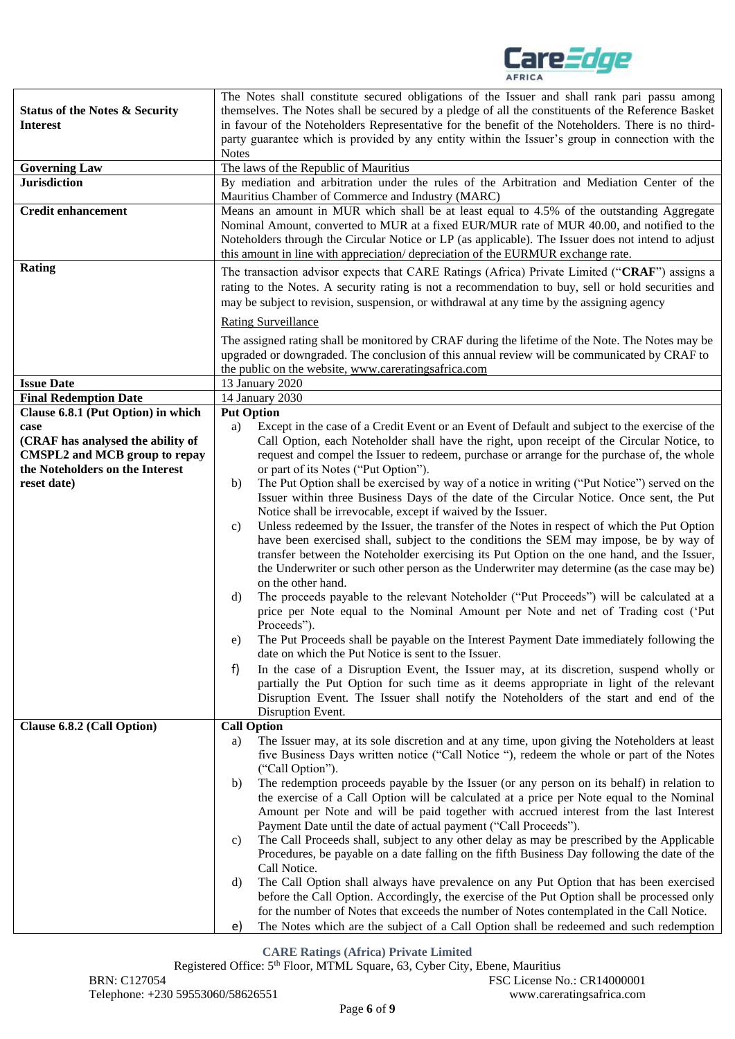

| <b>Status of the Notes &amp; Security</b><br><b>Interest</b><br><b>Governing Law</b><br><b>Jurisdiction</b>          | The Notes shall constitute secured obligations of the Issuer and shall rank pari passu among<br>themselves. The Notes shall be secured by a pledge of all the constituents of the Reference Basket<br>in favour of the Noteholders Representative for the benefit of the Noteholders. There is no third-<br>party guarantee which is provided by any entity within the Issuer's group in connection with the<br><b>Notes</b><br>The laws of the Republic of Mauritius<br>By mediation and arbitration under the rules of the Arbitration and Mediation Center of the |  |  |  |
|----------------------------------------------------------------------------------------------------------------------|----------------------------------------------------------------------------------------------------------------------------------------------------------------------------------------------------------------------------------------------------------------------------------------------------------------------------------------------------------------------------------------------------------------------------------------------------------------------------------------------------------------------------------------------------------------------|--|--|--|
| <b>Credit enhancement</b>                                                                                            | Mauritius Chamber of Commerce and Industry (MARC)<br>Means an amount in MUR which shall be at least equal to 4.5% of the outstanding Aggregate<br>Nominal Amount, converted to MUR at a fixed EUR/MUR rate of MUR 40.00, and notified to the<br>Noteholders through the Circular Notice or LP (as applicable). The Issuer does not intend to adjust<br>this amount in line with appreciation/depreciation of the EURMUR exchange rate.                                                                                                                               |  |  |  |
| Rating                                                                                                               | The transaction advisor expects that CARE Ratings (Africa) Private Limited ("CRAF") assigns a<br>rating to the Notes. A security rating is not a recommendation to buy, sell or hold securities and<br>may be subject to revision, suspension, or withdrawal at any time by the assigning agency                                                                                                                                                                                                                                                                     |  |  |  |
|                                                                                                                      |                                                                                                                                                                                                                                                                                                                                                                                                                                                                                                                                                                      |  |  |  |
| <b>Issue Date</b>                                                                                                    | <b>Rating Surveillance</b><br>The assigned rating shall be monitored by CRAF during the lifetime of the Note. The Notes may be<br>upgraded or downgraded. The conclusion of this annual review will be communicated by CRAF to<br>the public on the website, www.careratingsafrica.com<br>13 January 2020                                                                                                                                                                                                                                                            |  |  |  |
| <b>Final Redemption Date</b>                                                                                         | 14 January 2030                                                                                                                                                                                                                                                                                                                                                                                                                                                                                                                                                      |  |  |  |
| Clause 6.8.1 (Put Option) in which                                                                                   | <b>Put Option</b>                                                                                                                                                                                                                                                                                                                                                                                                                                                                                                                                                    |  |  |  |
| case<br>(CRAF has analysed the ability of<br><b>CMSPL2</b> and MCB group to repay<br>the Noteholders on the Interest | Except in the case of a Credit Event or an Event of Default and subject to the exercise of the<br>a)<br>Call Option, each Noteholder shall have the right, upon receipt of the Circular Notice, to<br>request and compel the Issuer to redeem, purchase or arrange for the purchase of, the whole<br>or part of its Notes ("Put Option").                                                                                                                                                                                                                            |  |  |  |
| reset date)                                                                                                          | The Put Option shall be exercised by way of a notice in writing ("Put Notice") served on the<br>b)<br>Issuer within three Business Days of the date of the Circular Notice. Once sent, the Put<br>Notice shall be irrevocable, except if waived by the Issuer.                                                                                                                                                                                                                                                                                                       |  |  |  |
|                                                                                                                      | Unless redeemed by the Issuer, the transfer of the Notes in respect of which the Put Option<br>C)<br>have been exercised shall, subject to the conditions the SEM may impose, be by way of<br>transfer between the Noteholder exercising its Put Option on the one hand, and the Issuer,<br>the Underwriter or such other person as the Underwriter may determine (as the case may be)<br>on the other hand.                                                                                                                                                         |  |  |  |
|                                                                                                                      | The proceeds payable to the relevant Noteholder ("Put Proceeds") will be calculated at a<br>d)<br>price per Note equal to the Nominal Amount per Note and net of Trading cost ('Put<br>Proceeds").                                                                                                                                                                                                                                                                                                                                                                   |  |  |  |
|                                                                                                                      | The Put Proceeds shall be payable on the Interest Payment Date immediately following the<br>e)<br>date on which the Put Notice is sent to the Issuer.                                                                                                                                                                                                                                                                                                                                                                                                                |  |  |  |
|                                                                                                                      | f)<br>In the case of a Disruption Event, the Issuer may, at its discretion, suspend wholly or<br>partially the Put Option for such time as it deems appropriate in light of the relevant<br>Disruption Event. The Issuer shall notify the Noteholders of the start and end of the<br>Disruption Event.                                                                                                                                                                                                                                                               |  |  |  |
| Clause 6.8.2 (Call Option)                                                                                           | <b>Call Option</b>                                                                                                                                                                                                                                                                                                                                                                                                                                                                                                                                                   |  |  |  |
|                                                                                                                      | The Issuer may, at its sole discretion and at any time, upon giving the Noteholders at least<br>a)<br>five Business Days written notice ("Call Notice "), redeem the whole or part of the Notes<br>("Call Option").                                                                                                                                                                                                                                                                                                                                                  |  |  |  |
|                                                                                                                      | The redemption proceeds payable by the Issuer (or any person on its behalf) in relation to<br>b)<br>the exercise of a Call Option will be calculated at a price per Note equal to the Nominal<br>Amount per Note and will be paid together with accrued interest from the last Interest                                                                                                                                                                                                                                                                              |  |  |  |
|                                                                                                                      | Payment Date until the date of actual payment ("Call Proceeds").<br>The Call Proceeds shall, subject to any other delay as may be prescribed by the Applicable<br>C)<br>Procedures, be payable on a date falling on the fifth Business Day following the date of the<br>Call Notice.                                                                                                                                                                                                                                                                                 |  |  |  |
|                                                                                                                      | The Call Option shall always have prevalence on any Put Option that has been exercised<br>d)<br>before the Call Option. Accordingly, the exercise of the Put Option shall be processed only                                                                                                                                                                                                                                                                                                                                                                          |  |  |  |
|                                                                                                                      | for the number of Notes that exceeds the number of Notes contemplated in the Call Notice.<br>The Notes which are the subject of a Call Option shall be redeemed and such redemption<br>e)                                                                                                                                                                                                                                                                                                                                                                            |  |  |  |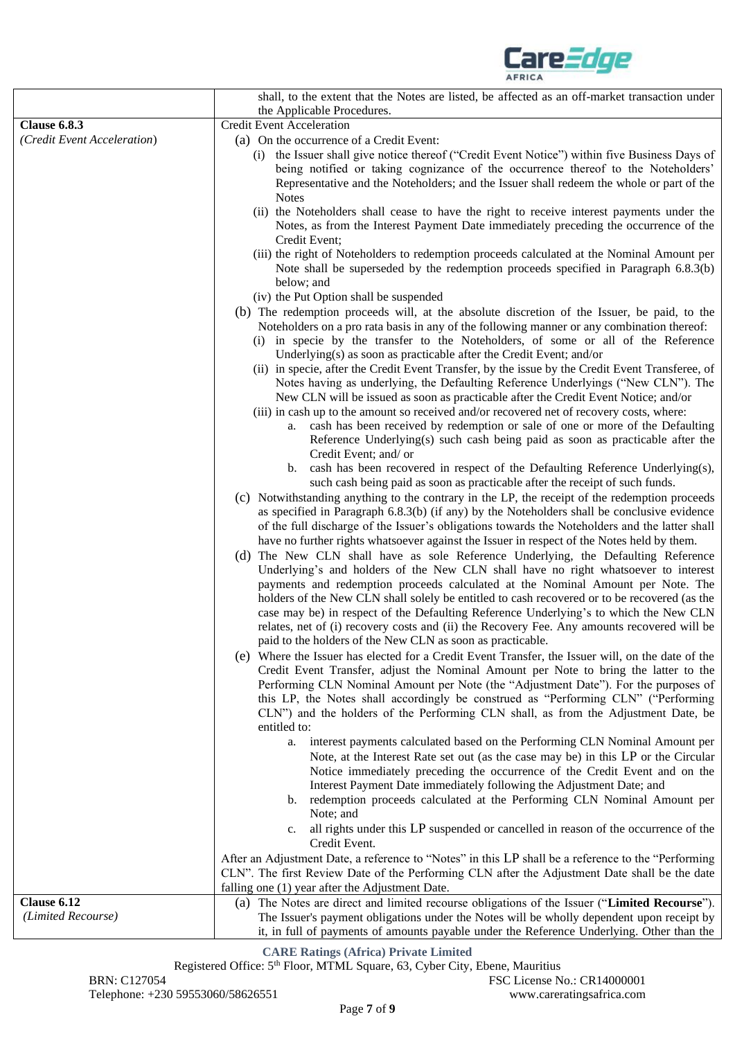

|                             | shall, to the extent that the Notes are listed, be affected as an off-market transaction under                                                                                                                                                                                                                                                                                                                                                                                                                                                                                                                                                                                                                                                                                                                                                                                                                                                      |
|-----------------------------|-----------------------------------------------------------------------------------------------------------------------------------------------------------------------------------------------------------------------------------------------------------------------------------------------------------------------------------------------------------------------------------------------------------------------------------------------------------------------------------------------------------------------------------------------------------------------------------------------------------------------------------------------------------------------------------------------------------------------------------------------------------------------------------------------------------------------------------------------------------------------------------------------------------------------------------------------------|
|                             | the Applicable Procedures.                                                                                                                                                                                                                                                                                                                                                                                                                                                                                                                                                                                                                                                                                                                                                                                                                                                                                                                          |
| <b>Clause 6.8.3</b>         | <b>Credit Event Acceleration</b>                                                                                                                                                                                                                                                                                                                                                                                                                                                                                                                                                                                                                                                                                                                                                                                                                                                                                                                    |
| (Credit Event Acceleration) | (a) On the occurrence of a Credit Event:                                                                                                                                                                                                                                                                                                                                                                                                                                                                                                                                                                                                                                                                                                                                                                                                                                                                                                            |
|                             | (i) the Issuer shall give notice thereof ("Credit Event Notice") within five Business Days of<br>being notified or taking cognizance of the occurrence thereof to the Noteholders'<br>Representative and the Noteholders; and the Issuer shall redeem the whole or part of the<br><b>Notes</b>                                                                                                                                                                                                                                                                                                                                                                                                                                                                                                                                                                                                                                                      |
|                             | (ii) the Noteholders shall cease to have the right to receive interest payments under the<br>Notes, as from the Interest Payment Date immediately preceding the occurrence of the<br>Credit Event;                                                                                                                                                                                                                                                                                                                                                                                                                                                                                                                                                                                                                                                                                                                                                  |
|                             | (iii) the right of Noteholders to redemption proceeds calculated at the Nominal Amount per<br>Note shall be superseded by the redemption proceeds specified in Paragraph 6.8.3(b)<br>below; and                                                                                                                                                                                                                                                                                                                                                                                                                                                                                                                                                                                                                                                                                                                                                     |
|                             | (iv) the Put Option shall be suspended                                                                                                                                                                                                                                                                                                                                                                                                                                                                                                                                                                                                                                                                                                                                                                                                                                                                                                              |
|                             | (b) The redemption proceeds will, at the absolute discretion of the Issuer, be paid, to the<br>Noteholders on a pro rata basis in any of the following manner or any combination thereof:<br>(i) in specie by the transfer to the Noteholders, of some or all of the Reference<br>Underlying(s) as soon as practicable after the Credit Event; and/or                                                                                                                                                                                                                                                                                                                                                                                                                                                                                                                                                                                               |
|                             | (ii) in specie, after the Credit Event Transfer, by the issue by the Credit Event Transferee, of<br>Notes having as underlying, the Defaulting Reference Underlyings ("New CLN"). The<br>New CLN will be issued as soon as practicable after the Credit Event Notice; and/or<br>(iii) in cash up to the amount so received and/or recovered net of recovery costs, where:<br>a. cash has been received by redemption or sale of one or more of the Defaulting<br>Reference Underlying(s) such cash being paid as soon as practicable after the<br>Credit Event; and/ or                                                                                                                                                                                                                                                                                                                                                                             |
|                             | b. cash has been recovered in respect of the Defaulting Reference Underlying(s),<br>such cash being paid as soon as practicable after the receipt of such funds.                                                                                                                                                                                                                                                                                                                                                                                                                                                                                                                                                                                                                                                                                                                                                                                    |
|                             | (c) Notwithstanding anything to the contrary in the LP, the receipt of the redemption proceeds<br>as specified in Paragraph 6.8.3(b) (if any) by the Noteholders shall be conclusive evidence<br>of the full discharge of the Issuer's obligations towards the Noteholders and the latter shall<br>have no further rights whatsoever against the Issuer in respect of the Notes held by them.<br>(d) The New CLN shall have as sole Reference Underlying, the Defaulting Reference<br>Underlying's and holders of the New CLN shall have no right whatsoever to interest<br>payments and redemption proceeds calculated at the Nominal Amount per Note. The<br>holders of the New CLN shall solely be entitled to cash recovered or to be recovered (as the<br>case may be) in respect of the Defaulting Reference Underlying's to which the New CLN<br>relates, net of (i) recovery costs and (ii) the Recovery Fee. Any amounts recovered will be |
|                             | paid to the holders of the New CLN as soon as practicable.<br>(e) Where the Issuer has elected for a Credit Event Transfer, the Issuer will, on the date of the<br>Credit Event Transfer, adjust the Nominal Amount per Note to bring the latter to the<br>Performing CLN Nominal Amount per Note (the "Adjustment Date"). For the purposes of<br>this LP, the Notes shall accordingly be construed as "Performing CLN" ("Performing<br>CLN") and the holders of the Performing CLN shall, as from the Adjustment Date, be                                                                                                                                                                                                                                                                                                                                                                                                                          |
|                             | entitled to:<br>a. interest payments calculated based on the Performing CLN Nominal Amount per<br>Note, at the Interest Rate set out (as the case may be) in this LP or the Circular<br>Notice immediately preceding the occurrence of the Credit Event and on the<br>Interest Payment Date immediately following the Adjustment Date; and<br>b. redemption proceeds calculated at the Performing CLN Nominal Amount per<br>Note; and                                                                                                                                                                                                                                                                                                                                                                                                                                                                                                               |
|                             | all rights under this LP suspended or cancelled in reason of the occurrence of the<br>c.<br>Credit Event.                                                                                                                                                                                                                                                                                                                                                                                                                                                                                                                                                                                                                                                                                                                                                                                                                                           |
|                             | After an Adjustment Date, a reference to "Notes" in this LP shall be a reference to the "Performing<br>CLN". The first Review Date of the Performing CLN after the Adjustment Date shall be the date<br>falling one (1) year after the Adjustment Date.                                                                                                                                                                                                                                                                                                                                                                                                                                                                                                                                                                                                                                                                                             |
| Clause 6.12                 | (a) The Notes are direct and limited recourse obligations of the Issuer ("Limited Recourse").                                                                                                                                                                                                                                                                                                                                                                                                                                                                                                                                                                                                                                                                                                                                                                                                                                                       |
| (Limited Recourse)          | The Issuer's payment obligations under the Notes will be wholly dependent upon receipt by<br>it, in full of payments of amounts payable under the Reference Underlying. Other than the                                                                                                                                                                                                                                                                                                                                                                                                                                                                                                                                                                                                                                                                                                                                                              |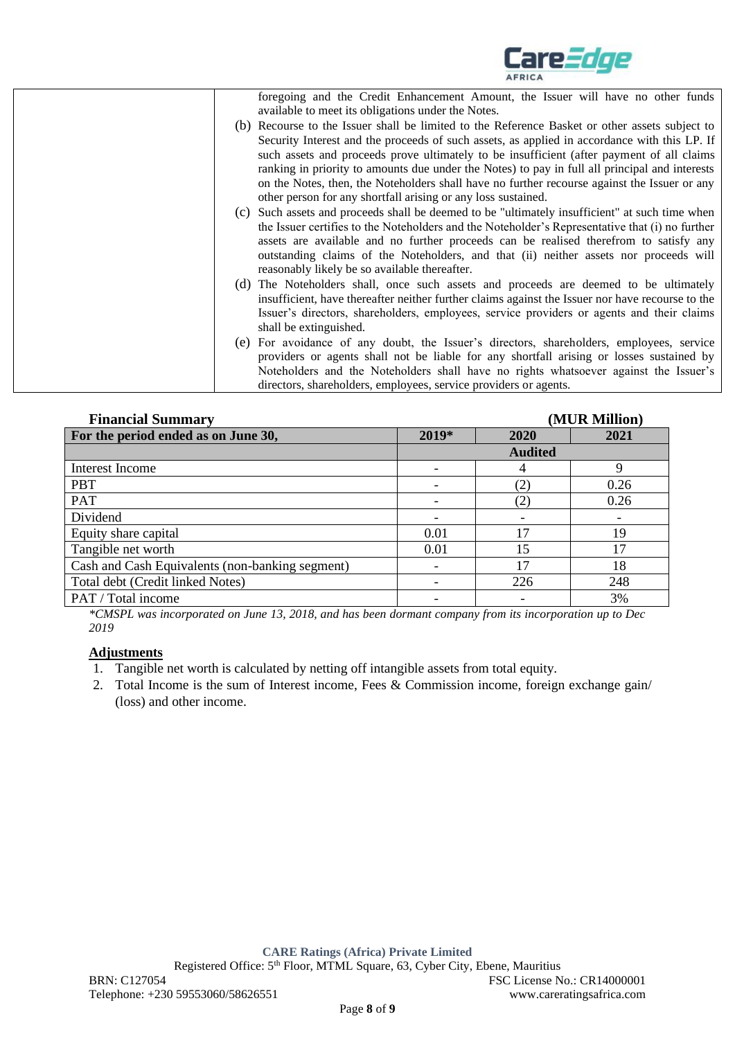

|     | foregoing and the Credit Enhancement Amount, the Issuer will have no other funds                 |
|-----|--------------------------------------------------------------------------------------------------|
|     | available to meet its obligations under the Notes.                                               |
|     | (b) Recourse to the Issuer shall be limited to the Reference Basket or other assets subject to   |
|     | Security Interest and the proceeds of such assets, as applied in accordance with this LP. If     |
|     | such assets and proceeds prove ultimately to be insufficient (after payment of all claims        |
|     | ranking in priority to amounts due under the Notes) to pay in full all principal and interests   |
|     | on the Notes, then, the Noteholders shall have no further recourse against the Issuer or any     |
|     | other person for any shortfall arising or any loss sustained.                                    |
|     | (c) Such assets and proceeds shall be deemed to be "ultimately insufficient" at such time when   |
|     | the Issuer certifies to the Noteholders and the Noteholder's Representative that (i) no further  |
|     | assets are available and no further proceeds can be realised therefrom to satisfy any            |
|     | outstanding claims of the Noteholders, and that (ii) neither assets nor proceeds will            |
|     | reasonably likely be so available thereafter.                                                    |
| (d) | The Noteholders shall, once such assets and proceeds are deemed to be ultimately                 |
|     | insufficient, have thereafter neither further claims against the Issuer nor have recourse to the |
|     | Issuer's directors, shareholders, employees, service providers or agents and their claims        |
|     |                                                                                                  |
|     | shall be extinguished.                                                                           |
|     | (e) For avoidance of any doubt, the Issuer's directors, shareholders, employees, service         |
|     | providers or agents shall not be liable for any shortfall arising or losses sustained by         |
|     | Noteholders and the Noteholders shall have no rights whatsoever against the Issuer's             |
|     | directors, shareholders, employees, service providers or agents.                                 |

| <b>Financial Summary</b>                        | (MUR Million)            |                   |      |
|-------------------------------------------------|--------------------------|-------------------|------|
| For the period ended as on June 30,             | 2019*                    | 2020              | 2021 |
|                                                 | <b>Audited</b>           |                   |      |
| Interest Income                                 |                          | 4                 | Q    |
| <b>PBT</b>                                      |                          | $\left( 2\right)$ | 0.26 |
| PAT                                             |                          | (2)               | 0.26 |
| Dividend                                        |                          |                   |      |
| Equity share capital                            | 0.01                     | 17                | 19   |
| Tangible net worth                              | 0.01                     | 15                |      |
| Cash and Cash Equivalents (non-banking segment) | -                        |                   | 18   |
| Total debt (Credit linked Notes)                | $\overline{\phantom{a}}$ | 226               | 248  |
| PAT / Total income                              |                          |                   | 3%   |

*\*CMSPL was incorporated on June 13, 2018, and has been dormant company from its incorporation up to Dec 2019*

### **Adjustments**

- 1. Tangible net worth is calculated by netting off intangible assets from total equity.
- 2. Total Income is the sum of Interest income, Fees & Commission income, foreign exchange gain/ (loss) and other income.